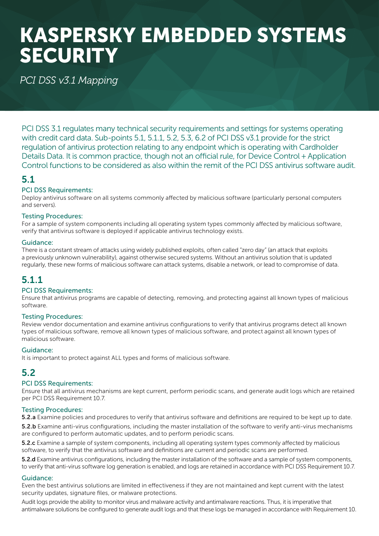# KASPERSKY EMBEDDED SYSTEMS **SECURITY**

## *PCI DSS v3.1 Mapping*

PCI DSS 3.1 regulates many technical security requirements and settings for systems operating with credit card data. Sub-points 5.1, 5.1.1, 5.2, 5.3, 6.2 of PCI DSS v3.1 provide for the strict regulation of antivirus protection relating to any endpoint which is operating with Cardholder Details Data. It is common practice, though not an official rule, for Device Control + Application Control functions to be considered as also within the remit of the PCI DSS antivirus software audit.

## 5.1

#### PCI DSS Requirements:

Deploy antivirus software on all systems commonly affected by malicious software (particularly personal computers and servers).

#### Testing Procedures:

For a sample of system components including all operating system types commonly affected by malicious software, verify that antivirus software is deployed if applicable antivirus technology exists.

#### Guidance:

There is a constant stream of attacks using widely published exploits, often called "zero day" (an attack that exploits a previously unknown vulnerability), against otherwise secured systems. Without an antivirus solution that is updated regularly, these new forms of malicious software can attack systems, disable a network, or lead to compromise of data.

## 5.1.1

#### PCI DSS Requirements:

Ensure that antivirus programs are capable of detecting, removing, and protecting against all known types of malicious software.

#### Testing Procedures:

Review vendor documentation and examine antivirus configurations to verify that antivirus programs detect all known types of malicious software, remove all known types of malicious software, and protect against all known types of malicious software.

#### Guidance:

It is important to protect against ALL types and forms of malicious software.

## 5.2

#### PCI DSS Requirements:

Ensure that all antivirus mechanisms are kept current, perform periodic scans, and generate audit logs which are retained per PCI DSS Requirement 10.7.

#### Testing Procedures:

5.2.a Examine policies and procedures to verify that antivirus software and definitions are required to be kept up to date.

5.2.b Examine anti-virus configurations, including the master installation of the software to verify anti-virus mechanisms are configured to perform automatic updates, and to perform periodic scans.

**5.2.c** Examine a sample of system components, including all operating system types commonly affected by malicious software, to verify that the antivirus software and definitions are current and periodic scans are performed.

**5.2.d** Examine antivirus configurations, including the master installation of the software and a sample of system components, to verify that anti-virus software log generation is enabled, and logs are retained in accordance with PCI DSS Requirement 10.7.

#### Guidance:

Even the best antivirus solutions are limited in effectiveness if they are not maintained and kept current with the latest security updates, signature files, or malware protections.

Audit logs provide the ability to monitor virus and malware activity and antimalware reactions. Thus, it is imperative that antimalware solutions be configured to generate audit logs and that these logs be managed in accordance with Requirement 10.